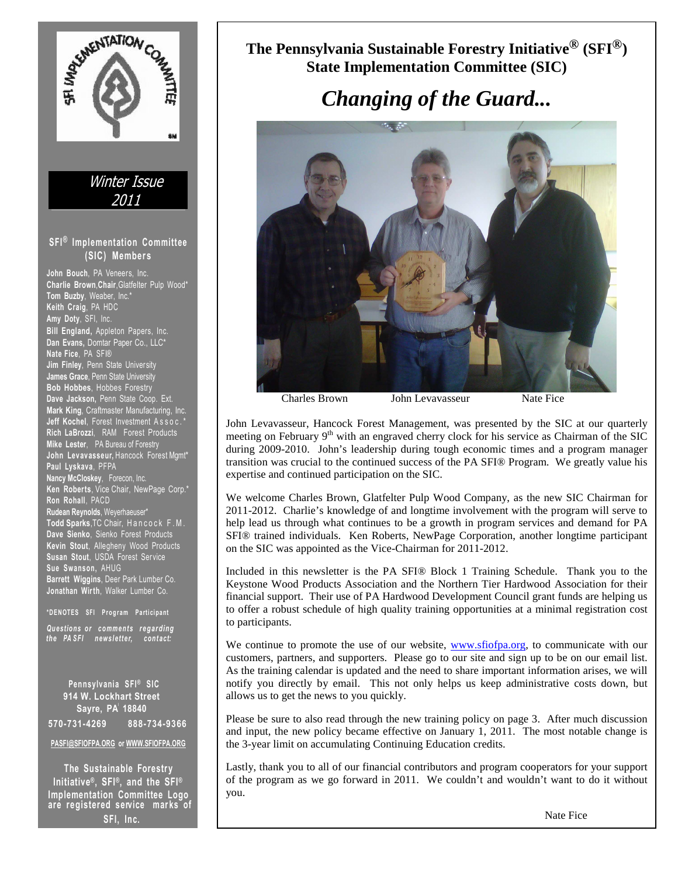

**The Pennsylvania Sustainable Forestry Initiative® (SFI®) State Implementation Committee (SIC)** 

# *Changing of the Guard...*



Charles Brown John Levavasseur Nate Fice

John Levavasseur, Hancock Forest Management, was presented by the SIC at our quarterly meeting on February 9<sup>th</sup> with an engraved cherry clock for his service as Chairman of the SIC during 2009-2010. John's leadership during tough economic times and a program manager transition was crucial to the continued success of the PA SFI® Program. We greatly value his expertise and continued participation on the SIC.

We welcome Charles Brown, Glatfelter Pulp Wood Company, as the new SIC Chairman for 2011-2012. Charlie's knowledge of and longtime involvement with the program will serve to help lead us through what continues to be a growth in program services and demand for PA SFI® trained individuals. Ken Roberts, NewPage Corporation, another longtime participant on the SIC was appointed as the Vice-Chairman for 2011-2012.

Included in this newsletter is the PA SFI® Block 1 Training Schedule. Thank you to the Keystone Wood Products Association and the Northern Tier Hardwood Association for their financial support. Their use of PA Hardwood Development Council grant funds are helping us to offer a robust schedule of high quality training opportunities at a minimal registration cost to participants.

We continue to promote the use of our website, www.sfiofpa.org, to communicate with our customers, partners, and supporters. Please go to our site and sign up to be on our email list. As the training calendar is updated and the need to share important information arises, we will notify you directly by email. This not only helps us keep administrative costs down, but allows us to get the news to you quickly.

Please be sure to also read through the new training policy on page 3. After much discussion and input, the new policy became effective on January 1, 2011. The most notable change is the 3-year limit on accumulating Continuing Education credits.

Lastly, thank you to all of our financial contributors and program cooperators for your support of the program as we go forward in 2011. We couldn't and wouldn't want to do it without you.

Program Manager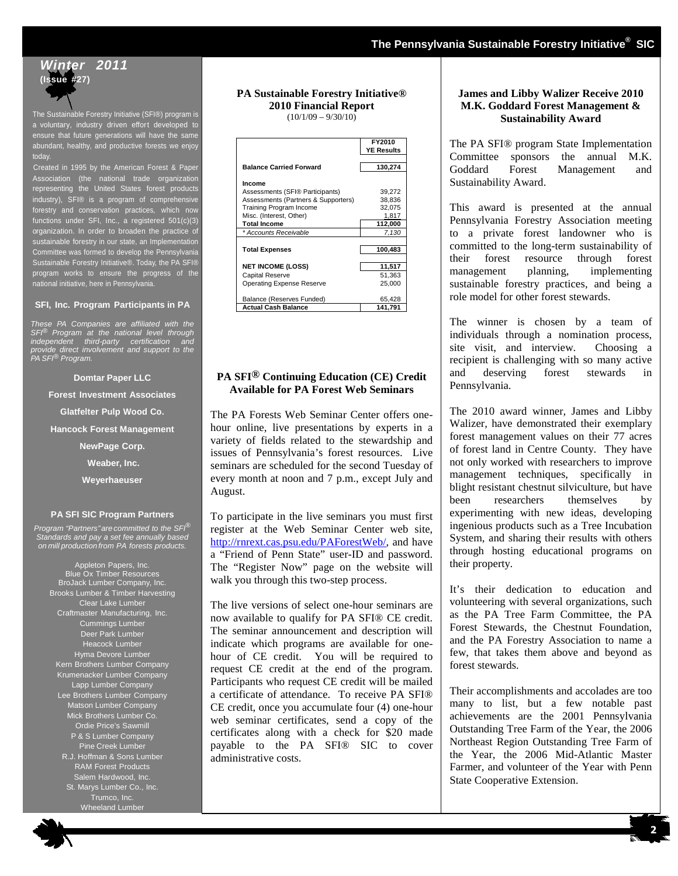## **Winter 2011 (Issue #27)**

The Sustainable Forestry Initiative (SFI®) program is a voluntary, industry driven effort developed to ensure that future generations will have the same abundant, healthy, and productive forests we enjoy today.

Created in 1995 by the American Forest & Paper Association (the national trade organization representing the United States forest products industry), SFI® is a program of comprehensive forestry and conservation practices, which now functions under SFI, Inc., a registered 501(c)(3) organization. In order to broaden the practice of sustainable forestry in our state, an Implementation Committee was formed to develop the Pennsylvania Sustainable Forestry Initiative®. Today, the PA SFI® program works to ensure the progress of the national initiative, here in Pennsylvania.

### **SFI, Inc. Program Participants in PA**

These PA Companies are affiliated with the SFI® Program at the national level through independent third-party certification and provide direct involvement and support to the PA SFI® Program.

**Domtar Paper LLC Forest Investment Associates Glatfelter Pulp Wood Co. Hancock Forest Management NewPage Corp.** 

 **Weaber, Inc. Weyerhaeuser** 

#### **PA SFI SIC Program Partners**

Program "Partners" are committed to the SFI<sup>®</sup> Standards and pay a set fee annually based on mill production from PA forests products.

> Appleton Papers, Inc. Blue Ox Timber Resources BroJack Lumber Company, Inc. Brooks Lumber & Timber Harvesting Clear Lake Lumber Craftmaster Manufacturing, Inc. Cummings Lumber Deer Park Lumber Heacock Lumber Hyma Devore Lumber Kern Brothers Lumber Company Krumenacker Lumber Company Lapp Lumber Company Lee Brothers Lumber Company Matson Lumber Compa Mick Brothers Lumber Co. Ordie Price's Sawmill P & S Lumber Company Pine Creek Lumber R.J. Hoffman & Sons Lumber RAM Forest Products Salem Hardwood, Inc. St. Marys Lumber Co., Inc. Trumco, Inc.

Wheeland Lumber

## **PA Sustainable Forestry Initiative® 2010 Financial Report**

 $(10/1/09 - 9/30/10)$ 

|                                     | FY2010            |  |
|-------------------------------------|-------------------|--|
|                                     | <b>YE Results</b> |  |
|                                     |                   |  |
| <b>Balance Carried Forward</b>      | 130,274           |  |
|                                     |                   |  |
| Income                              |                   |  |
| Assessments (SFI® Participants)     | 39.272            |  |
| Assessments (Partners & Supporters) | 38,836            |  |
| Training Program Income             | 32,075            |  |
| Misc. (Interest, Other)             | 1.817             |  |
| <b>Total Income</b>                 | 112,000           |  |
| * Accounts Receivable               | 7,130             |  |
|                                     |                   |  |
| <b>Total Expenses</b>               | 100,483           |  |
|                                     |                   |  |
| <b>NET INCOME (LOSS)</b>            | 11,517            |  |
| <b>Capital Reserve</b>              | 51,363            |  |
| Operating Expense Reserve           | 25,000            |  |
|                                     |                   |  |
| Balance (Reserves Funded)           | 65,428            |  |
| <b>Actual Cash Balance</b>          | 141,791           |  |

## **PA SFI® Continuing Education (CE) Credit Available for PA Forest Web Seminars**

The PA Forests Web Seminar Center offers onehour online, live presentations by experts in a variety of fields related to the stewardship and issues of Pennsylvania's forest resources. Live seminars are scheduled for the second Tuesday of every month at noon and 7 p.m., except July and August.

To participate in the live seminars you must first register at the Web Seminar Center web site, http://rnrext.cas.psu.edu/PAForestWeb/, and have a "Friend of Penn State" user-ID and password. The "Register Now" page on the website will walk you through this two-step process.

The live versions of select one-hour seminars are now available to qualify for PA SFI® CE credit. The seminar announcement and description will indicate which programs are available for onehour of CE credit. You will be required to request CE credit at the end of the program. Participants who request CE credit will be mailed a certificate of attendance. To receive PA SFI® CE credit, once you accumulate four (4) one-hour web seminar certificates, send a copy of the certificates along with a check for \$20 made payable to the PA SFI® SIC to cover administrative costs.

### **James and Libby Walizer Receive 2010 M.K. Goddard Forest Management & Sustainability Award**

The PA SFI® program State Implementation Committee sponsors the annual M.K. Goddard Forest Management and Sustainability Award.

This award is presented at the annual Pennsylvania Forestry Association meeting to a private forest landowner who is committed to the long-term sustainability of their forest resource through forest management planning, implementing sustainable forestry practices, and being a role model for other forest stewards.

The winner is chosen by a team of individuals through a nomination process, site visit, and interview. Choosing a recipient is challenging with so many active and deserving forest stewards in Pennsylvania.

The 2010 award winner, James and Libby Walizer, have demonstrated their exemplary forest management values on their 77 acres of forest land in Centre County. They have not only worked with researchers to improve management techniques, specifically in blight resistant chestnut silviculture, but have been researchers themselves by experimenting with new ideas, developing ingenious products such as a Tree Incubation System, and sharing their results with others through hosting educational programs on their property.

It's their dedication to education and volunteering with several organizations, such as the PA Tree Farm Committee, the PA Forest Stewards, the Chestnut Foundation, and the PA Forestry Association to name a few, that takes them above and beyond as forest stewards.

Their accomplishments and accolades are too many to list, but a few notable past achievements are the 2001 Pennsylvania Outstanding Tree Farm of the Year, the 2006 Northeast Region Outstanding Tree Farm of the Year, the 2006 Mid-Atlantic Master Farmer, and volunteer of the Year with Penn State Cooperative Extension.

**2**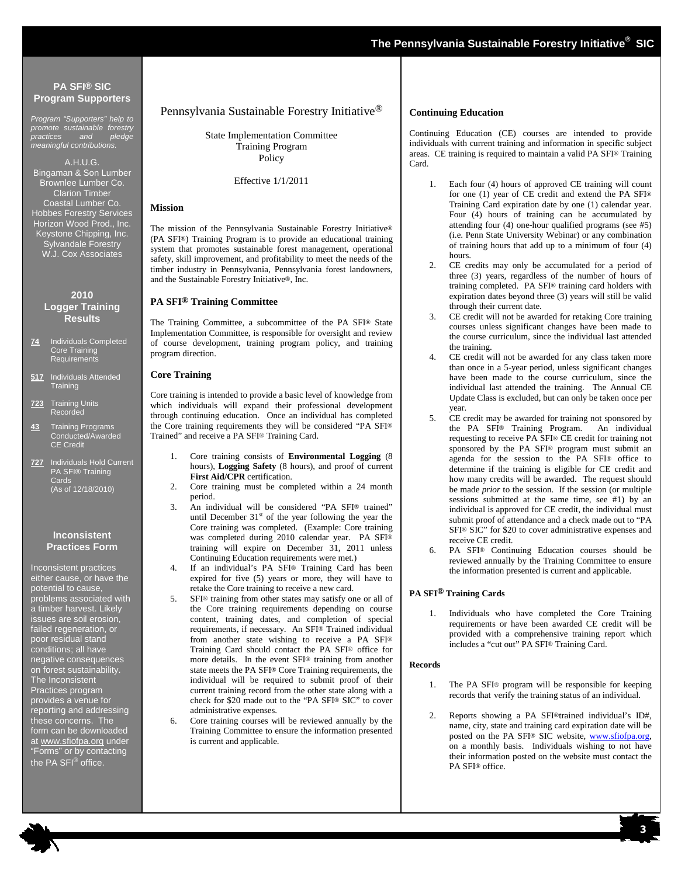Program "Supporters" help to promote sustainable forestry practices and pledge meaningful contributions.

A.H.U.G. Bingaman & Son Lumber Brownlee Lumber Co. Clarion Timber Coastal Lumber Co. Hobbes Forestry Services Horizon Wood Prod., Inc. Keystone Chipping, Inc. Sylvandale Forestry W.J. Cox Associates

#### **2010 Logger Training Results**

- **74** Individuals Completed **Core Training** Requirements
- **517** Individuals Attended **Training**
- **723** Training Units Recorded
- **43** Training Programs **Conducted/Awarded** CE Credit
- **727** Individuals Hold Current **EXAMPA SFI® Training** Cards (As of 12/18/2010)

#### **Inconsistent Practices Form**

Inconsistent practices either cause, or have the potential to cause, problems associated with a timber harvest. Likely issues are soil erosion, failed regeneration, or poor residual stand conditions; all have negative consequences on forest sustainability. The Inconsistent Practices program provides a venue for reporting and addressing these concerns. The form can be downloaded at www.sfiofpa.org under "Forms" or by contacting the PA SFI<sup>®</sup> office.

#### Pennsylvania Sustainable Forestry Initiative®

State Implementation Committee Training Program Policy

Effective 1/1/2011

#### **Mission**

The mission of the Pennsylvania Sustainable Forestry Initiative® (PA SFI®) Training Program is to provide an educational training system that promotes sustainable forest management, operational safety, skill improvement, and profitability to meet the needs of the timber industry in Pennsylvania, Pennsylvania forest landowners, and the Sustainable Forestry Initiative®, Inc.

#### **PA SFI® Training Committee**

The Training Committee, a subcommittee of the PA SFI® State Implementation Committee, is responsible for oversight and review of course development, training program policy, and training program direction.

#### **Core Training**

Core training is intended to provide a basic level of knowledge from which individuals will expand their professional development through continuing education. Once an individual has completed the Core training requirements they will be considered "PA SFI® Trained" and receive a PA SFI® Training Card.

- 1. Core training consists of **Environmental Logging** (8 hours), **Logging Safety** (8 hours), and proof of current **First Aid/CPR** certification.
- 2. Core training must be completed within a 24 month period.
- 3. An individual will be considered "PA SFI® trained" until December  $31<sup>st</sup>$  of the year following the year the Core training was completed. (Example: Core training was completed during 2010 calendar year. PA SFI® training will expire on December 31, 2011 unless Continuing Education requirements were met.)
- 4. If an individual's PA SFI® Training Card has been expired for five (5) years or more, they will have to retake the Core training to receive a new card.
- 5. SFI® training from other states may satisfy one or all of the Core training requirements depending on course content, training dates, and completion of special requirements, if necessary. An SFI® Trained individual from another state wishing to receive a PA SFI® Training Card should contact the PA SFI® office for more details. In the event SFI® training from another state meets the PA SFI® Core Training requirements, the individual will be required to submit proof of their current training record from the other state along with a check for \$20 made out to the "PA SFI® SIC" to cover administrative expenses.
- 6. Core training courses will be reviewed annually by the Training Committee to ensure the information presented is current and applicable.

#### **Continuing Education**

Continuing Education (CE) courses are intended to provide individuals with current training and information in specific subject areas. CE training is required to maintain a valid PA SFI® Training Card.

- 1. Each four (4) hours of approved CE training will count for one (1) year of CE credit and extend the PA SFI® Training Card expiration date by one (1) calendar year. Four (4) hours of training can be accumulated by attending four (4) one-hour qualified programs (see #5) (i.e. Penn State University Webinar) or any combination of training hours that add up to a minimum of four (4) hours.
- 2. CE credits may only be accumulated for a period of three (3) years, regardless of the number of hours of training completed. PA SFI® training card holders with expiration dates beyond three (3) years will still be valid through their current date.
- 3. CE credit will not be awarded for retaking Core training courses unless significant changes have been made to the course curriculum, since the individual last attended the training.
- 4. CE credit will not be awarded for any class taken more than once in a 5-year period, unless significant changes have been made to the course curriculum, since the individual last attended the training. The Annual CE Update Class is excluded, but can only be taken once per year.
- 5. CE credit may be awarded for training not sponsored by the PA SFI® Training Program. An individual requesting to receive PA SFI® CE credit for training not sponsored by the PA SFI® program must submit an agenda for the session to the PA SFI® office to determine if the training is eligible for CE credit and how many credits will be awarded. The request should be made *prior* to the session. If the session (or multiple sessions submitted at the same time, see #1) by an individual is approved for CE credit, the individual must submit proof of attendance and a check made out to "PA SFI® SIC" for \$20 to cover administrative expenses and receive CE credit.
- 6. PA SFI® Continuing Education courses should be reviewed annually by the Training Committee to ensure the information presented is current and applicable.

#### **PA SFI® Training Cards**

1. Individuals who have completed the Core Training requirements or have been awarded CE credit will be provided with a comprehensive training report which includes a "cut out" PA SFI® Training Card.

#### **Records**

- 1. The PA SFI® program will be responsible for keeping records that verify the training status of an individual.
- 2. Reports showing a PA SFI®trained individual's ID#, name, city, state and training card expiration date will be posted on the PA SFI® SIC website, www.sfiofpa.org, on a monthly basis. Individuals wishing to not have their information posted on the website must contact the PA SFI® office.

**3**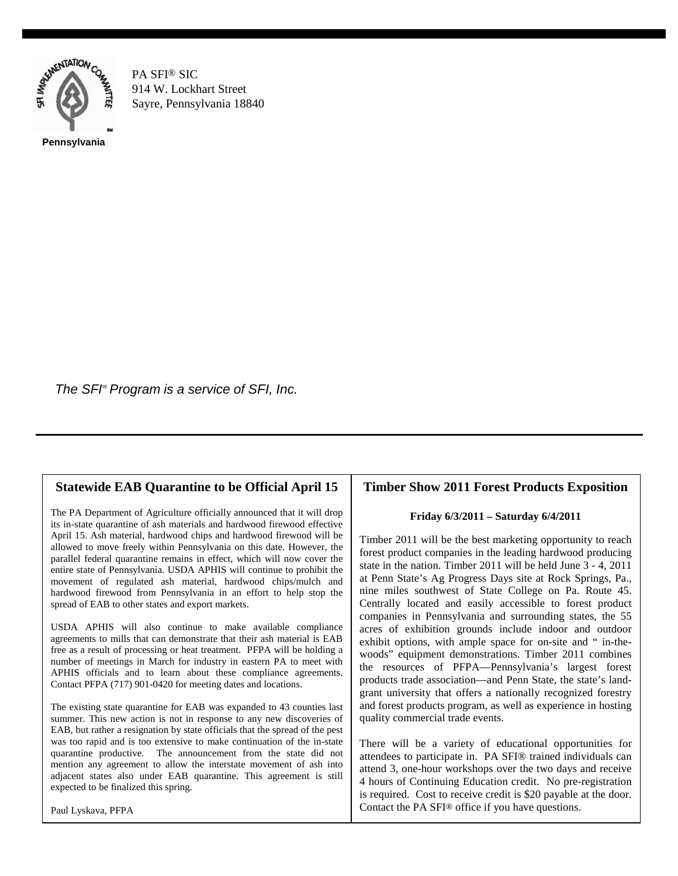

PA SFI® SIC 914 W. Lockhart Street Sayre, Pennsylvania 18840

The SFI<sup>®</sup> Program is a service of SFI, Inc.

## **Statewide EAB Quarantine to be Official April 15**

The PA Department of Agriculture officially announced that it will drop its in-state quarantine of ash materials and hardwood firewood effective April 15. Ash material, hardwood chips and hardwood firewood will be allowed to move freely within Pennsylvania on this date. However, the parallel federal quarantine remains in effect, which will now cover the entire state of Pennsylvania. USDA APHIS will continue to prohibit the movement of regulated ash material, hardwood chips/mulch and hardwood firewood from Pennsylvania in an effort to help stop the spread of EAB to other states and export markets.

USDA APHIS will also continue to make available compliance agreements to mills that can demonstrate that their ash material is EAB free as a result of processing or heat treatment. PFPA will be holding a number of meetings in March for industry in eastern PA to meet with APHIS officials and to learn about these compliance agreements. Contact PFPA (717) 901-0420 for meeting dates and locations.

The existing state quarantine for EAB was expanded to 43 counties last summer. This new action is not in response to any new discoveries of EAB, but rather a resignation by state officials that the spread of the pest was too rapid and is too extensive to make continuation of the in-state quarantine productive. The announcement from the state did not mention any agreement to allow the interstate movement of ash into adjacent states also under EAB quarantine. This agreement is still expected to be finalized this spring.

Paul Lyskava, PFPA

## **Timber Show 2011 Forest Products Exposition**

## **Friday 6/3/2011 – Saturday 6/4/2011**

Timber 2011 will be the best marketing opportunity to reach forest product companies in the leading hardwood producing state in the nation. Timber 2011 will be held June 3 - 4, 2011 at Penn State's Ag Progress Days site at Rock Springs, Pa., nine miles southwest of State College on Pa. Route 45. Centrally located and easily accessible to forest product companies in Pennsylvania and surrounding states, the 55 acres of exhibition grounds include indoor and outdoor exhibit options, with ample space for on-site and " in-thewoods" equipment demonstrations. Timber 2011 combines the resources of PFPA—Pennsylvania's largest forest products trade association—and Penn State, the state's landgrant university that offers a nationally recognized forestry and forest products program, as well as experience in hosting quality commercial trade events.

There will be a variety of educational opportunities for attendees to participate in. PA SFI® trained individuals can attend 3, one-hour workshops over the two days and receive 4 hours of Continuing Education credit. No pre-registration is required. Cost to receive credit is \$20 payable at the door. Contact the PA SFI® office if you have questions.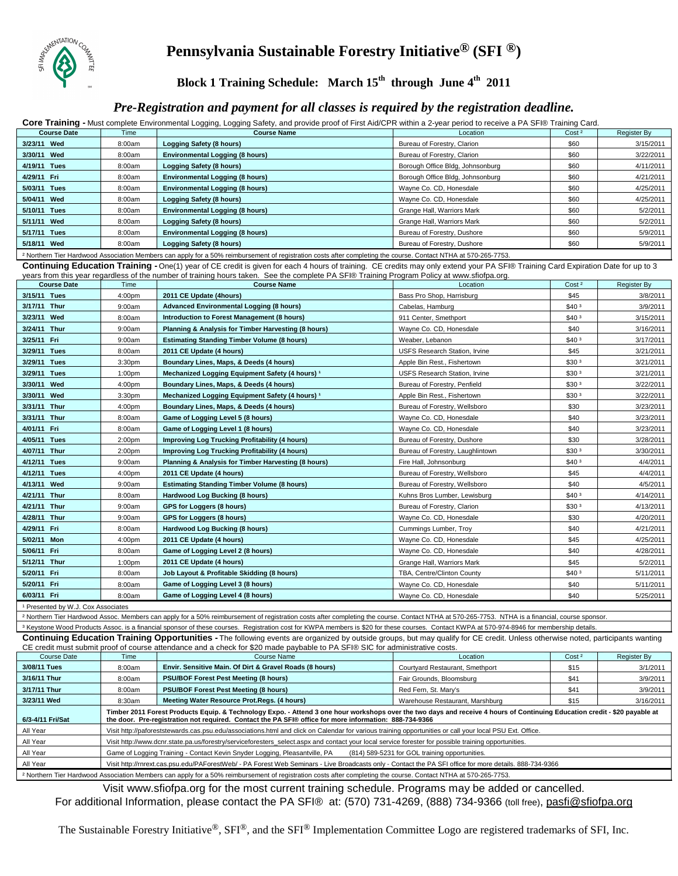

# **Pennsylvania Sustainable Forestry Initiative® (SFI ®)**

**Block 1 Training Schedule: March 15th through June 4th 2011** 

## *Pre-Registration and payment for all classes is required by the registration deadline.*

Core Training - Must complete Environmental Logging, Logging Safety, and provide proof of First Aid/CPR within a 2-year period to receive a PA SFI® Training Card.

| <b>Course Date</b> | Time   | ິບບ ບ/<br><b>Course Name</b><br>Location |                                  | Cost <sup>2</sup> | Register By |
|--------------------|--------|------------------------------------------|----------------------------------|-------------------|-------------|
| 3/23/11 Wed        | 8:00am | Logging Safety (8 hours)                 | Bureau of Forestry, Clarion      | \$60              | 3/15/2011   |
| 3/30/11 Wed        | 8:00am | <b>Environmental Logging (8 hours)</b>   | Bureau of Forestry, Clarion      | \$60              | 3/22/2011   |
| 4/19/11 Tues       | 8:00am | Logging Safety (8 hours)                 | Borough Office Bldg, Johnsonburg | \$60              | 4/11/2011   |
| 4/29/11 Fri        | 8:00am | <b>Environmental Logging (8 hours)</b>   | Borough Office Bldg, Johnsonburg | \$60              | 4/21/2011   |
| 5/03/11 Tues       | 8:00am | <b>Environmental Logging (8 hours)</b>   | Wayne Co. CD, Honesdale          | \$60              | 4/25/2011   |
| 5/04/11 Wed        | 8:00am | Logging Safety (8 hours)                 | Wayne Co. CD, Honesdale          | \$60              | 4/25/2011   |
| 5/10/11 Tues       | 8:00am | <b>Environmental Logging (8 hours)</b>   | Grange Hall, Warriors Mark       | \$60              | 5/2/2011    |
| 5/11/11 Wed        | 8:00am | <b>Logging Safety (8 hours)</b>          | Grange Hall, Warriors Mark       | \$60              | 5/2/2011    |
| 5/17/11 Tues       | 8:00am | <b>Environmental Logging (8 hours)</b>   | Bureau of Forestry, Dushore      | \$60              | 5/9/2011    |
| 5/18/11 Wed        | 8:00am | Logging Safety (8 hours)                 | Bureau of Forestry, Dushore      | \$60              | 5/9/2011    |

² Northern Tier Hardwood Association Members can apply for a 50% reimbursement of registration costs after completing the course. Contact NTHA at 570-265-7753.

Continuing Education Training - One(1) year of CE credit is given for each 4 hours of training. CE credits may only extend your PA SFI® Training Card Expiration Date for up to 3 See the complete PA SFI® Training Program Policy at www.

|                                     |                    | cars nonruns year regardess or the namber or training nours taken. Oce the complete river recruiting rivegram rolley at www.shopa.org. |                                      |                   |             |
|-------------------------------------|--------------------|----------------------------------------------------------------------------------------------------------------------------------------|--------------------------------------|-------------------|-------------|
| <b>Course Date</b>                  | Time               | <b>Course Name</b>                                                                                                                     | Location                             | Cost <sup>2</sup> | Register By |
| 3/15/11 Tues                        | 4:00 <sub>pm</sub> | 2011 CE Update (4hours)                                                                                                                | Bass Pro Shop, Harrisburg            |                   | 3/8/2011    |
| 3/17/11 Thur                        | 9:00am             | <b>Advanced Environmental Logging (8 hours)</b>                                                                                        | Cabelas, Hamburg                     | \$40 <sup>3</sup> | 3/9/2011    |
| 3/23/11 Wed                         | 8:00am             | Introduction to Forest Management (8 hours)                                                                                            | 911 Center, Smethport                | \$40 <sup>3</sup> | 3/15/2011   |
| 3/24/11 Thur                        | 9:00am             | Planning & Analysis for Timber Harvesting (8 hours)                                                                                    | Wayne Co. CD, Honesdale              | \$40              | 3/16/2011   |
| 3/25/11 Fri                         | 9:00am             | <b>Estimating Standing Timber Volume (8 hours)</b>                                                                                     | Weaber, Lebanon                      | \$40 <sup>3</sup> | 3/17/2011   |
| 3/29/11 Tues                        | 8:00am             | 2011 CE Update (4 hours)                                                                                                               | <b>USFS Research Station, Irvine</b> | \$45              | 3/21/2011   |
| 3/29/11 Tues                        | 3:30pm             | Boundary Lines, Maps, & Deeds (4 hours)                                                                                                | Apple Bin Rest., Fishertown          | \$30 <sup>3</sup> | 3/21/2011   |
| 3/29/11 Tues                        | 1:00 <sub>pm</sub> | Mechanized Logging Equipment Safety (4 hours) 1                                                                                        | <b>USFS Research Station, Irvine</b> | \$30 <sup>3</sup> | 3/21/2011   |
| 3/30/11 Wed                         | 4:00 <sub>pm</sub> | Boundary Lines, Maps, & Deeds (4 hours)                                                                                                | Bureau of Forestry, Penfield         | \$30 <sup>3</sup> | 3/22/2011   |
| 3/30/11 Wed                         | 3:30 <sub>pm</sub> | Mechanized Logging Equipment Safety (4 hours) 1                                                                                        | Apple Bin Rest., Fishertown          | \$30 <sup>3</sup> | 3/22/2011   |
| 3/31/11 Thur                        | 4:00 <sub>pm</sub> | Boundary Lines, Maps, & Deeds (4 hours)                                                                                                | Bureau of Forestry, Wellsboro        | \$30              | 3/23/2011   |
| 3/31/11 Thur                        | 8:00am             | Game of Logging Level 5 (8 hours)                                                                                                      | Wayne Co. CD, Honesdale              | \$40              | 3/23/2011   |
| 4/01/11 Fri                         | 8:00am             | Game of Logging Level 1 (8 hours)                                                                                                      | Wayne Co. CD, Honesdale              | \$40              | 3/23/2011   |
| 4/05/11 Tues                        | 2:00 <sub>pm</sub> | Improving Log Trucking Profitability (4 hours)                                                                                         | Bureau of Forestry, Dushore          | \$30              | 3/28/2011   |
| 4/07/11 Thur                        | 2:00 <sub>pm</sub> | Improving Log Trucking Profitability (4 hours)                                                                                         | Bureau of Forestry, Laughlintown     | \$30 <sup>3</sup> | 3/30/2011   |
| 4/12/11 Tues                        | 9:00am             | Planning & Analysis for Timber Harvesting (8 hours)                                                                                    | Fire Hall, Johnsonburg               | \$40 <sup>3</sup> | 4/4/2011    |
| 4/12/11 Tues                        | 4:00 <sub>pm</sub> | 2011 CE Update (4 hours)                                                                                                               | Bureau of Forestry, Wellsboro        | \$45              | 4/4/2011    |
| 4/13/11 Wed                         | 9:00am             | <b>Estimating Standing Timber Volume (8 hours)</b>                                                                                     | Bureau of Forestry, Wellsboro        | \$40              | 4/5/2011    |
| 4/21/11 Thur                        | 8:00am             | Hardwood Log Bucking (8 hours)                                                                                                         | Kuhns Bros Lumber, Lewisburg         | \$40 <sup>3</sup> | 4/14/2011   |
| 4/21/11 Thur                        | 9:00am             | GPS for Loggers (8 hours)                                                                                                              | Bureau of Forestry, Clarion          | \$30 <sup>3</sup> | 4/13/2011   |
| 4/28/11 Thur                        | 9:00am             | GPS for Loggers (8 hours)                                                                                                              | Wayne Co. CD, Honesdale              | \$30              | 4/20/2011   |
| 4/29/11 Fri                         | 8:00am             | Hardwood Log Bucking (8 hours)                                                                                                         | Cummings Lumber, Troy                | \$40              | 4/21/2011   |
| 5/02/11 Mon                         | 4:00 <sub>pm</sub> | 2011 CE Update (4 hours)                                                                                                               | Wayne Co. CD, Honesdale              | \$45              | 4/25/2011   |
| 5/06/11 Fri                         | 8:00am             | Game of Logging Level 2 (8 hours)                                                                                                      | Wavne Co. CD. Honesdale              | \$40              | 4/28/2011   |
| 5/12/11 Thur                        | 1:00 <sub>pm</sub> | 2011 CE Update (4 hours)                                                                                                               | Grange Hall, Warriors Mark           | \$45              | 5/2/2011    |
| 5/20/11 Fri                         | 8:00am             | Job Layout & Profitable Skidding (8 hours)                                                                                             | TBA, Centre/Clinton County           | \$40 <sup>3</sup> | 5/11/2011   |
| 5/20/11 Fri                         | 8:00am             | Game of Logging Level 3 (8 hours)                                                                                                      | Wayne Co. CD, Honesdale              | \$40              | 5/11/2011   |
| 6/03/11 Fri                         | 8:00am             | Game of Logging Level 4 (8 hours)                                                                                                      | Wayne Co. CD, Honesdale              | \$40              | 5/25/2011   |
| 1 Proconted by W. L. Cox Accoriator |                    |                                                                                                                                        |                                      |                   |             |

<sup>1</sup> Presented by W.J. Cox Associates

<sup>2</sup> Northern Tier Hardwood Assoc. Members can apply for a 50% reimbursement of registration costs after completing the course. Contact NTHA at 570-265-7753. NTHA is a financial, course sponsor

<sup>3</sup> Keystone Wood Products Assoc. is a financial sponsor of these courses. Registration cost for KWPA members is \$20 for these courses. Contact KWPA at 570-974-8946 for membership details.

**Continuing Education Training Opportunities -** The following events are organized by outside groups, but may qualify for CE credit. Unless otherwise noted, participants wanting CE credit must submit proof of course attendance and a check for \$20 made paybable to PA SFI® SIC for administrative costs.

| Course Date      | Time                                                                                                                                                                                                                                                                                 | <b>Course Name</b>                                      | Location                        | Cost <sup>2</sup> | Register By |
|------------------|--------------------------------------------------------------------------------------------------------------------------------------------------------------------------------------------------------------------------------------------------------------------------------------|---------------------------------------------------------|---------------------------------|-------------------|-------------|
| 3/08/11 Tues     | 8:00am                                                                                                                                                                                                                                                                               | Envir. Sensitive Main. Of Dirt & Gravel Roads (8 hours) | Courtyard Restaurant, Smethport | \$15              | 3/1/2011    |
| 3/16/11 Thur     | 8:00am                                                                                                                                                                                                                                                                               | <b>PSU/BOF Forest Pest Meeting (8 hours)</b>            | Fair Grounds, Bloomsburg        | \$41              | 3/9/2011    |
| 3/17/11 Thur     | 8:00am                                                                                                                                                                                                                                                                               | <b>PSU/BOF Forest Pest Meeting (8 hours)</b>            | Red Fern, St. Marv's            | \$41              | 3/9/2011    |
| 3/23/11 Wed      | 8:30am                                                                                                                                                                                                                                                                               | Meeting Water Resource Prot. Regs. (4 hours)            | Warehouse Restaurant, Marshburg | \$15              | 3/16/2011   |
| 6/3-4/11 Fri/Sat | Timber 2011 Forest Products Equip. & Technology Expo. - Attend 3 one hour workshops over the two days and receive 4 hours of Continuing Education credit - \$20 payable at<br>the door. Pre-registration not required. Contact the PA SFI® office for more information: 888-734-9366 |                                                         |                                 |                   |             |
| All Year         | Visit http://paforeststewards.cas.psu.edu/associations.html and click on Calendar for various training opportunities or call your local PSU Ext. Office.                                                                                                                             |                                                         |                                 |                   |             |
| All Year         | Visit http://www.dcnr.state.pa.us/forestry/serviceforesters select.aspx and contact your local service forester for possible training opportunities.                                                                                                                                 |                                                         |                                 |                   |             |
| All Year         | Game of Logging Training - Contact Kevin Snyder Logging, Pleasantville, PA<br>(814) 589-5231 for GOL training opportunities.                                                                                                                                                         |                                                         |                                 |                   |             |
| All Year         | Visit http://mrext.cas.psu.edu/PAForestWeb/ - PA Forest Web Seminars - Live Broadcasts only - Contact the PA SFI office for more details. 888-734-9366                                                                                                                               |                                                         |                                 |                   |             |
|                  |                                                                                                                                                                                                                                                                                      |                                                         |                                 |                   |             |

² Northern Tier Hardwood Association Members can apply for a 50% reimbursement of registration costs after completing the course. Contact NTHA at 570-265-7753.

Visit www.sfiofpa.org for the most current training schedule. Programs may be added or cancelled. For additional Information, please contact the PA SFI® at: (570) 731-4269, (888) 734-9366 (toll free), pasfi@sfiofpa.org

The Sustainable Forestry Initiative®, SFI®, and the SFI® Implementation Committee Logo are registered trademarks of SFI, Inc.